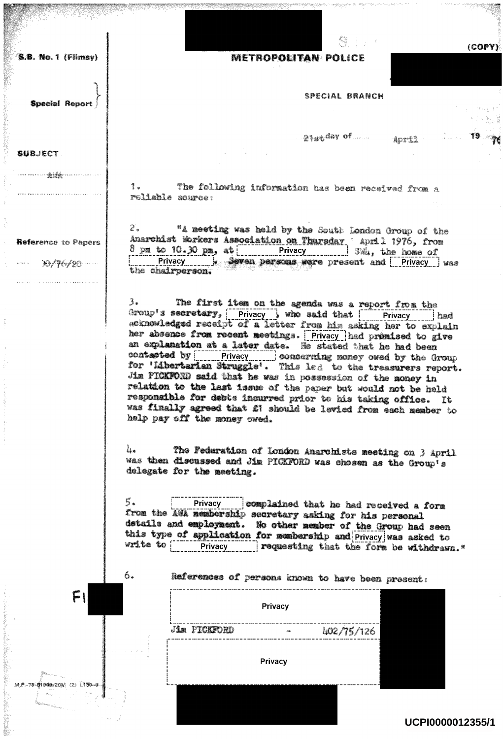S.B. No. 1 (Flimsy)

**Special Report** 

<del>menen jälgennum s</del>

Reference to Papers

DO/76720

**SUBJECT** 

## **METROPOLITAN POLICE**

SPECIAL BRANCH

21stday of man april 19 may

 $(COPY)$ 

The following information has been received from a 1. reliable source:

 $z$ . "A meeting was held by the South London Group of the Anarchist Workers Association on Thursday 'April 1976, from 8 pm to 10.30 pm, at Privacy 3504, the home of Privacy between persons were present and Privacy was the chairperson.

 $3.$ The first item on the agenda was a report from the Group's secretary, Privacy , who said that Frivacy had acknowledged receipt of a letter from him asking her to explain her absence from recent meetings. Privacy had promised to give an explanation at a later date. He stated that he had been contacted by Privacy | concerning money owed by the Group for 'Libertarian Struggle'. This led to the treasurers report. Jim PICKFORD said that he was in possession of the money in relation to the last issue of the paper but would not be held responsible for debts incurred prior to his taking office. It was finally agreed that £1 should be levied from each member to help pay off the money owed.

The Federation of London Anarchists meeting on 3 April li. was then discussed and Jim PICKFORD was chosen as the Group's delegate for the meeting.

5. Privacy complained that he had received a form from the AWA membership secretary asking for his personal details and employment. No other member of the Group had seen this type of application for membership and Privacy was asked to write to Privacy requesting that the form be withdrawn."

6.

M.P.-75-91905/20M (2) 1130-8

References of persons known to have been present:

| Privacy |              |         |  |            |  |
|---------|--------------|---------|--|------------|--|
|         | Jim PICKFORD |         |  | 402/75/126 |  |
|         |              | Privacy |  |            |  |

UCPI0000012355/1